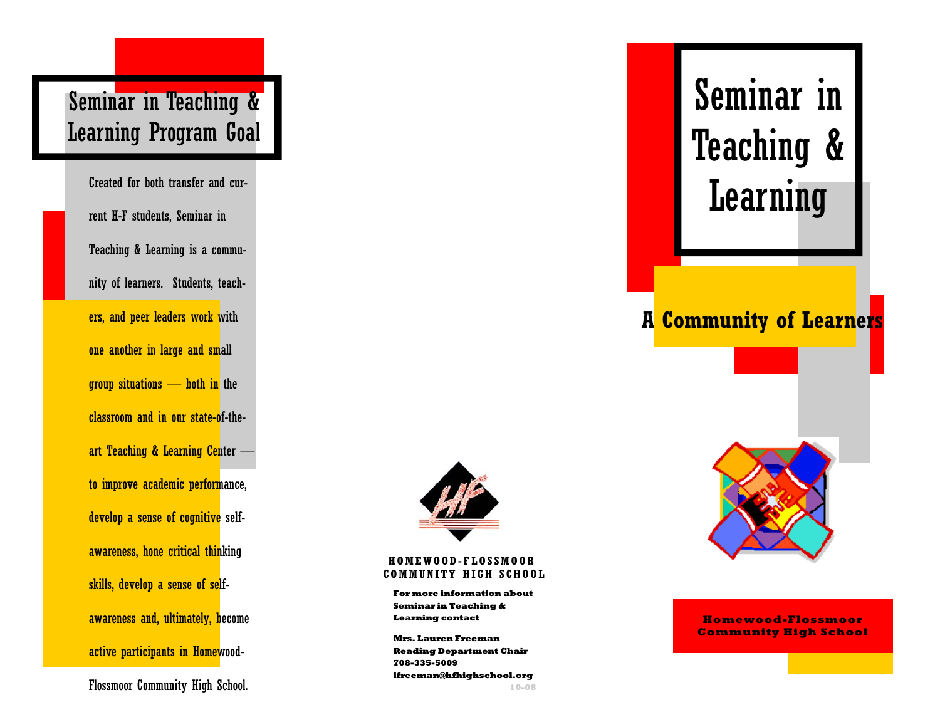# Seminar in Teaching & Learning Program Goal

Created for both transfer and current H-F students, Seminar in Teaching & Learning is a community of learners. Students, teachers, and peer leaders work with one another in large and small group situations — both in the classroom and in our state-of-theart Teaching & Learning Center to improve academic performance, develop a sense of cognitive selfawareness, hone critical thinking skills, develop a sense of selfawareness and, ultimately, become active participants in Homewood-

Flossmoor Community High School.



#### **HOMEWOOD-FLOSSMOOR COMMUNITY HIGH SCHOOL**

**For more information about Seminar in Teaching & Learning contact** 

**Mrs. Lauren Freeman Reading Department Chair 708-335-5009 lfreeman@hfhighschool.org 10-08** 

# Seminar in Teaching & **Learning**

### **A Community of Learners**



#### **Homewood-Flossmoor Community High School**